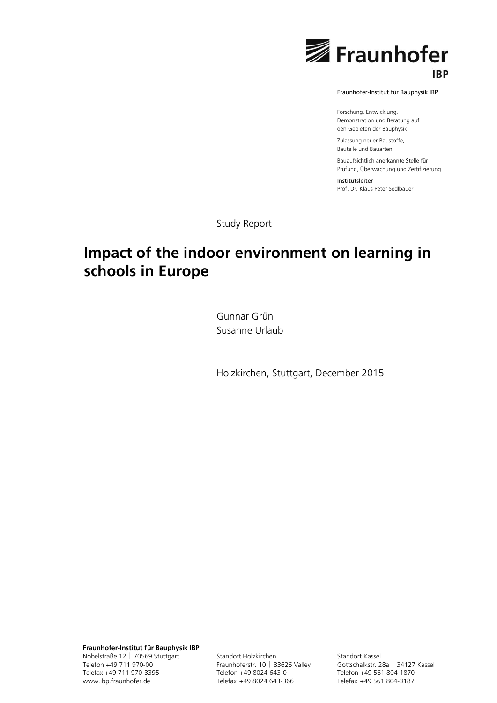

Fraunhofer-Institut für Bauphysik IBP

Forschung, Entwicklung, Demonstration und Beratung auf den Gebieten der Bauphysik

Zulassung neuer Baustoffe, Bauteile und Bauarten

Bauaufsichtlich anerkannte Stelle für Prüfung, Überwachung und Zertifizierung

Institutsleiter Prof. Dr. Klaus Peter Sedlbauer

Study Report

# **Impact of the indoor environment on learning in schools in Europe**

Gunnar Grün Susanne Urlaub

Holzkirchen, Stuttgart, December 2015

**Fraunhofer-Institut für Bauphysik IBP** Nobelstraße 12 | 70569 Stuttgart Telefon +49 711 970-00 Telefax +49 711 970-3395 www.ibp.fraunhofer.de

Standort Holzkirchen Fraunhoferstr. 10 | 83626 Valley Telefon +49 8024 643-0 Telefax +49 8024 643-366

Standort Kassel Gottschalkstr. 28a | 34127 Kassel Telefon +49 561 804-1870 Telefax +49 561 804-3187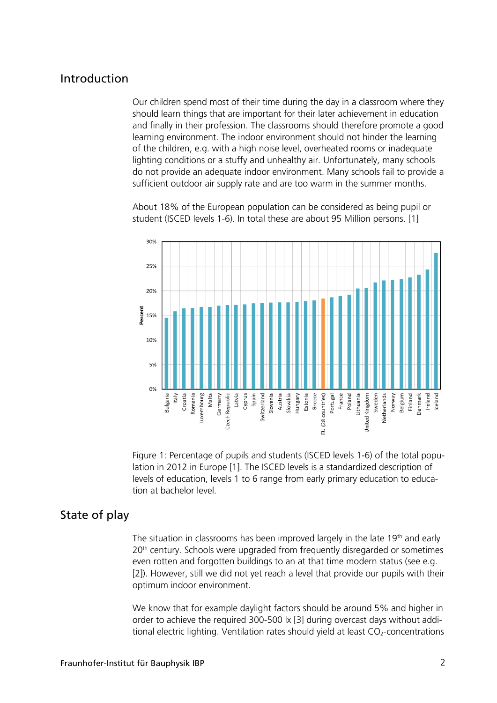## Introduction

Our children spend most of their time during the day in a classroom where they should learn things that are important for their later achievement in education and finally in their profession. The classrooms should therefore promote a good learning environment. The indoor environment should not hinder the learning of the children, e.g. with a high noise level, overheated rooms or inadequate lighting conditions or a stuffy and unhealthy air. Unfortunately, many schools do not provide an adequate indoor environment. Many schools fail to provide a sufficient outdoor air supply rate and are too warm in the summer months.

About 18% of the European population can be considered as being pupil or student (ISCED levels 1-6). In total these are about 95 Million persons. [1]



Figure 1: Percentage of pupils and students (ISCED levels 1-6) of the total population in 2012 in Europe [1]. The ISCED levels is a standardized description of levels of education, levels 1 to 6 range from early primary education to education at bachelor level.

# State of play

The situation in classrooms has been improved largely in the late  $19<sup>th</sup>$  and early 20<sup>th</sup> century. Schools were upgraded from frequently disregarded or sometimes even rotten and forgotten buildings to an at that time modern status (see e.g. [2]). However, still we did not yet reach a level that provide our pupils with their optimum indoor environment.

We know that for example daylight factors should be around 5% and higher in order to achieve the required 300-500 lx [3] during overcast days without additional electric lighting. Ventilation rates should yield at least  $CO<sub>2</sub>$ -concentrations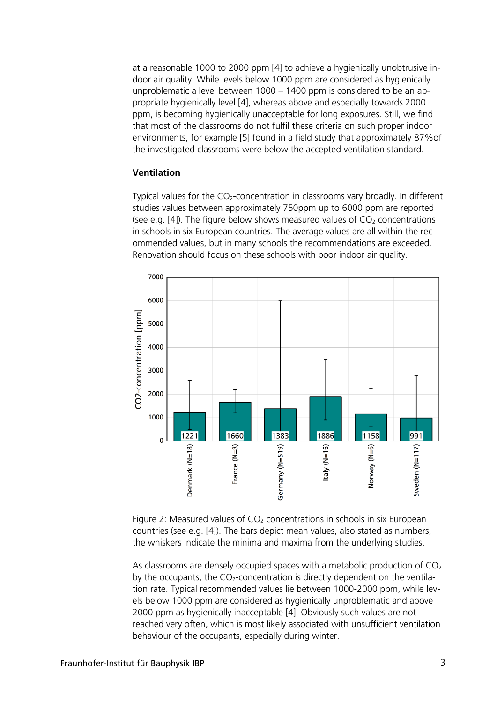at a reasonable 1000 to 2000 ppm [4] to achieve a hygienically unobtrusive indoor air quality. While levels below 1000 ppm are considered as hygienically unproblematic a level between 1000 – 1400 ppm is considered to be an appropriate hygienically level [4], whereas above and especially towards 2000 ppm, is becoming hygienically unacceptable for long exposures. Still, we find that most of the classrooms do not fulfil these criteria on such proper indoor environments, for example [5] found in a field study that approximately 87%of the investigated classrooms were below the accepted ventilation standard.

### **Ventilation**

Typical values for the  $CO<sub>2</sub>$ -concentration in classrooms vary broadly. In different studies values between approximately 750ppm up to 6000 ppm are reported (see e.g. [4]). The figure below shows measured values of  $CO<sub>2</sub>$  concentrations in schools in six European countries. The average values are all within the recommended values, but in many schools the recommendations are exceeded. Renovation should focus on these schools with poor indoor air quality.



Figure 2: Measured values of  $CO<sub>2</sub>$  concentrations in schools in six European countries (see e.g. [4]). The bars depict mean values, also stated as numbers, the whiskers indicate the minima and maxima from the underlying studies.

As classrooms are densely occupied spaces with a metabolic production of  $CO<sub>2</sub>$ by the occupants, the  $CO<sub>2</sub>$ -concentration is directly dependent on the ventilation rate. Typical recommended values lie between 1000-2000 ppm, while levels below 1000 ppm are considered as hygienically unproblematic and above 2000 ppm as hygienically inacceptable [4]. Obviously such values are not reached very often, which is most likely associated with unsufficient ventilation behaviour of the occupants, especially during winter.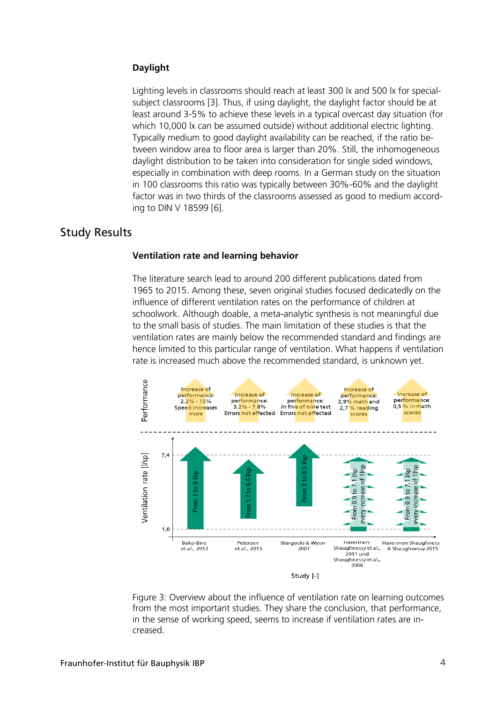### **Daylight**

Lighting levels in classrooms should reach at least 300 lx and 500 lx for specialsubject classrooms [3]. Thus, if using daylight, the daylight factor should be at least around 3-5% to achieve these levels in a typical overcast day situation (for which 10,000 lx can be assumed outside) without additional electric lighting. Typically medium to good daylight availability can be reached, if the ratio between window area to floor area is larger than 20%. Still, the inhomogeneous daylight distribution to be taken into consideration for single sided windows, especially in combination with deep rooms. In a German study on the situation in 100 classrooms this ratio was typically between 30%-60% and the daylight factor was in two thirds of the classrooms assessed as good to medium according to DIN V 18599 [6].

## Study Results

#### **Ventilation rate and learning behavior**

The literature search lead to around 200 different publications dated from 1965 to 2015. Among these, seven original studies focused dedicatedly on the influence of different ventilation rates on the performance of children at schoolwork. Although doable, a meta-analytic synthesis is not meaningful due to the small basis of studies. The main limitation of these studies is that the ventilation rates are mainly below the recommended standard and findings are hence limited to this particular range of ventilation. What happens if ventilation rate is increased much above the recommended standard, is unknown yet.



Figure 3: Overview about the influence of ventilation rate on learning outcomes from the most important studies. They share the conclusion, that performance, in the sense of working speed, seems to increase if ventilation rates are increased.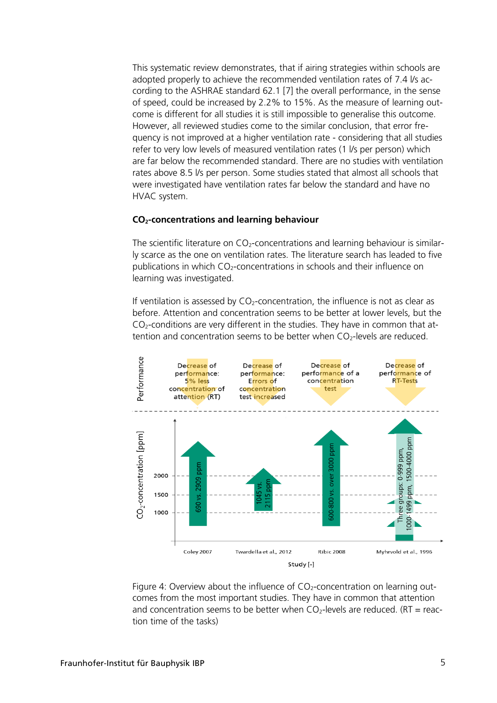This systematic review demonstrates, that if airing strategies within schools are adopted properly to achieve the recommended ventilation rates of 7.4 l/s according to the ASHRAE standard 62.1 [7] the overall performance, in the sense of speed, could be increased by 2.2% to 15%. As the measure of learning outcome is different for all studies it is still impossible to generalise this outcome. However, all reviewed studies come to the similar conclusion, that error frequency is not improved at a higher ventilation rate - considering that all studies refer to very low levels of measured ventilation rates (1 l/s per person) which are far below the recommended standard. There are no studies with ventilation rates above 8.5 l/s per person. Some studies stated that almost all schools that were investigated have ventilation rates far below the standard and have no HVAC system.

#### **CO2-concentrations and learning behaviour**

The scientific literature on  $CO<sub>2</sub>$ -concentrations and learning behaviour is similarly scarce as the one on ventilation rates. The literature search has leaded to five publications in which  $CO<sub>2</sub>$ -concentrations in schools and their influence on learning was investigated.

If ventilation is assessed by  $CO<sub>2</sub>$ -concentration, the influence is not as clear as before. Attention and concentration seems to be better at lower levels, but the  $CO<sub>2</sub>$ -conditions are very different in the studies. They have in common that attention and concentration seems to be better when  $CO<sub>2</sub>$ -levels are reduced.



Figure 4: Overview about the influence of  $CO<sub>2</sub>$ -concentration on learning outcomes from the most important studies. They have in common that attention and concentration seems to be better when  $CO_2$ -levels are reduced. (RT = reaction time of the tasks)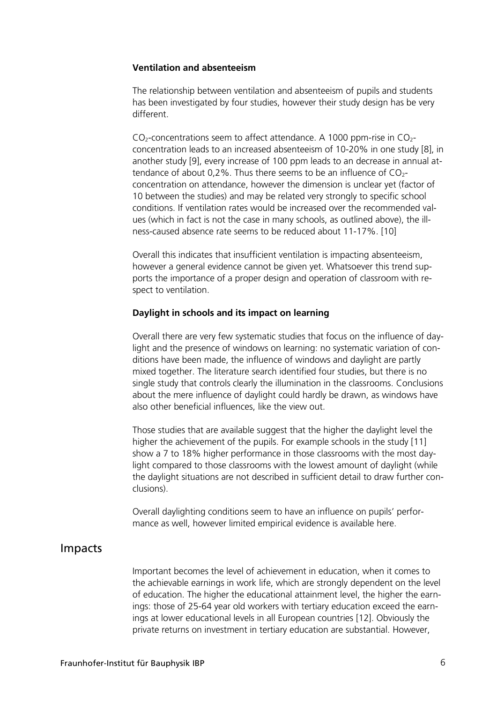#### **Ventilation and absenteeism**

The relationship between ventilation and absenteeism of pupils and students has been investigated by four studies, however their study design has be very different.

 $CO<sub>2</sub>$ -concentrations seem to affect attendance. A 1000 ppm-rise in  $CO<sub>2</sub>$ concentration leads to an increased absenteeism of 10-20% in one study [8], in another study [9], every increase of 100 ppm leads to an decrease in annual attendance of about 0,2%. Thus there seems to be an influence of  $CO<sub>2</sub>$ concentration on attendance, however the dimension is unclear yet (factor of 10 between the studies) and may be related very strongly to specific school conditions. If ventilation rates would be increased over the recommended values (which in fact is not the case in many schools, as outlined above), the illness-caused absence rate seems to be reduced about 11-17%. [10]

Overall this indicates that insufficient ventilation is impacting absenteeism, however a general evidence cannot be given yet. Whatsoever this trend supports the importance of a proper design and operation of classroom with respect to ventilation.

#### **Daylight in schools and its impact on learning**

Overall there are very few systematic studies that focus on the influence of daylight and the presence of windows on learning: no systematic variation of conditions have been made, the influence of windows and daylight are partly mixed together. The literature search identified four studies, but there is no single study that controls clearly the illumination in the classrooms. Conclusions about the mere influence of daylight could hardly be drawn, as windows have also other beneficial influences, like the view out.

Those studies that are available suggest that the higher the daylight level the higher the achievement of the pupils. For example schools in the study [11] show a 7 to 18% higher performance in those classrooms with the most daylight compared to those classrooms with the lowest amount of daylight (while the daylight situations are not described in sufficient detail to draw further conclusions).

Overall daylighting conditions seem to have an influence on pupils' performance as well, however limited empirical evidence is available here.

## Impacts

Important becomes the level of achievement in education, when it comes to the achievable earnings in work life, which are strongly dependent on the level of education. The higher the educational attainment level, the higher the earnings: those of 25-64 year old workers with tertiary education exceed the earnings at lower educational levels in all European countries [12]. Obviously the private returns on investment in tertiary education are substantial. However,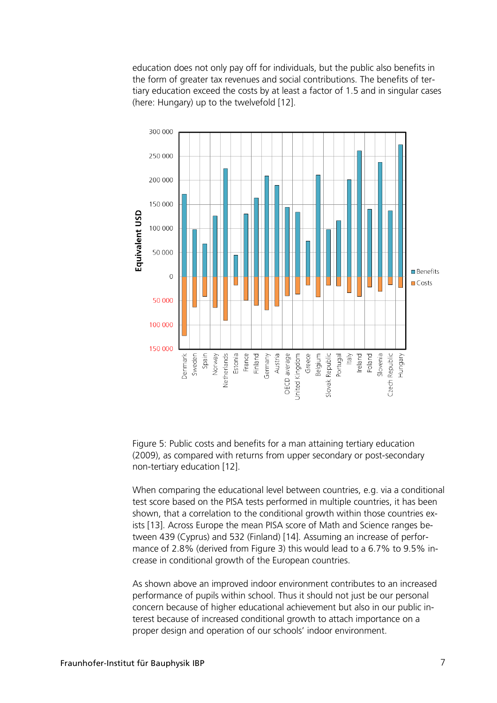education does not only pay off for individuals, but the public also benefits in the form of greater tax revenues and social contributions. The benefits of tertiary education exceed the costs by at least a factor of 1.5 and in singular cases (here: Hungary) up to the twelvefold [12].



Figure 5: Public costs and benefits for a man attaining tertiary education (2009), as compared with returns from upper secondary or post-secondary non-tertiary education [12].

When comparing the educational level between countries, e.g. via a conditional test score based on the PISA tests performed in multiple countries, it has been shown, that a correlation to the conditional growth within those countries exists [13]. Across Europe the mean PISA score of Math and Science ranges between 439 (Cyprus) and 532 (Finland) [14]. Assuming an increase of performance of 2.8% (derived from Figure 3) this would lead to a 6.7% to 9.5% increase in conditional growth of the European countries.

As shown above an improved indoor environment contributes to an increased performance of pupils within school. Thus it should not just be our personal concern because of higher educational achievement but also in our public interest because of increased conditional growth to attach importance on a proper design and operation of our schools' indoor environment.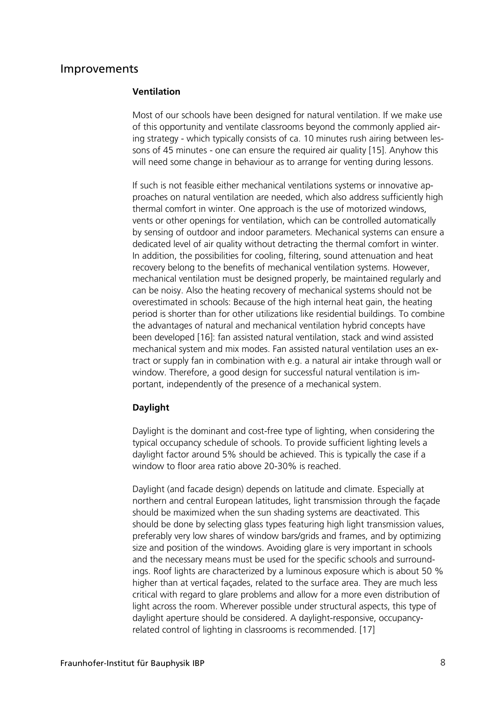## Improvements

#### **Ventilation**

Most of our schools have been designed for natural ventilation. If we make use of this opportunity and ventilate classrooms beyond the commonly applied airing strategy - which typically consists of ca. 10 minutes rush airing between lessons of 45 minutes - one can ensure the required air quality [15]. Anyhow this will need some change in behaviour as to arrange for venting during lessons.

If such is not feasible either mechanical ventilations systems or innovative approaches on natural ventilation are needed, which also address sufficiently high thermal comfort in winter. One approach is the use of motorized windows, vents or other openings for ventilation, which can be controlled automatically by sensing of outdoor and indoor parameters. Mechanical systems can ensure a dedicated level of air quality without detracting the thermal comfort in winter. In addition, the possibilities for cooling, filtering, sound attenuation and heat recovery belong to the benefits of mechanical ventilation systems. However, mechanical ventilation must be designed properly, be maintained regularly and can be noisy. Also the heating recovery of mechanical systems should not be overestimated in schools: Because of the high internal heat gain, the heating period is shorter than for other utilizations like residential buildings. To combine the advantages of natural and mechanical ventilation hybrid concepts have been developed [16]: fan assisted natural ventilation, stack and wind assisted mechanical system and mix modes. Fan assisted natural ventilation uses an extract or supply fan in combination with e.g. a natural air intake through wall or window. Therefore, a good design for successful natural ventilation is important, independently of the presence of a mechanical system.

#### **Daylight**

Daylight is the dominant and cost-free type of lighting, when considering the typical occupancy schedule of schools. To provide sufficient lighting levels a daylight factor around 5% should be achieved. This is typically the case if a window to floor area ratio above 20-30% is reached.

Daylight (and facade design) depends on latitude and climate. Especially at northern and central European latitudes, light transmission through the façade should be maximized when the sun shading systems are deactivated. This should be done by selecting glass types featuring high light transmission values, preferably very low shares of window bars/grids and frames, and by optimizing size and position of the windows. Avoiding glare is very important in schools and the necessary means must be used for the specific schools and surroundings. Roof lights are characterized by a luminous exposure which is about 50 % higher than at vertical façades, related to the surface area. They are much less critical with regard to glare problems and allow for a more even distribution of light across the room. Wherever possible under structural aspects, this type of daylight aperture should be considered. A daylight-responsive, occupancyrelated control of lighting in classrooms is recommended. [17]